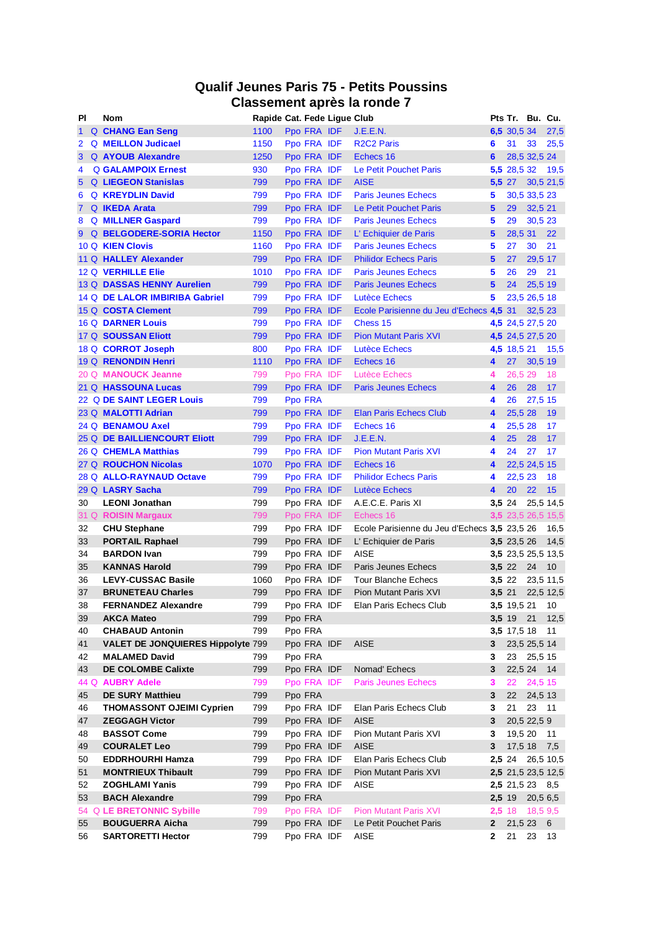# **Qualif Jeunes Paris 75 - Petits Poussins Classement après la ronde 7**

| ΡI                   | <b>Nom</b>                               | Rapide Cat. Fede Lique Club |         |             |                                              |              | Pts Tr. Bu. Cu.        |         |                    |
|----------------------|------------------------------------------|-----------------------------|---------|-------------|----------------------------------------------|--------------|------------------------|---------|--------------------|
|                      | <b>Q CHANG Ean Seng</b>                  | 1100                        |         | Ppo FRA IDF | J.E.E.N.                                     |              | 6,5 30,5 34            |         | 27,5               |
| $\mathbf{2}^{\circ}$ | <b>Q MEILLON</b> Judicael                | 1150                        |         | Ppo FRA IDF | <b>R2C2 Paris</b>                            | 6            | 31                     | 33      | 25,5               |
|                      | 3 Q AYOUB Alexandre                      | 1250                        |         | Ppo FRA IDF | Echecs 16                                    | 6            | 28,5 32,5 24           |         |                    |
| 4                    | <b>Q GALAMPOIX Ernest</b>                | 930                         |         | Ppo FRA IDF | Le Petit Pouchet Paris                       |              |                        |         | 5,5 28,5 32 19,5   |
| $5^{\circ}$          | <b>Q</b> LIEGEON Stanislas               | 799                         |         | Ppo FRA IDF | <b>AISE</b>                                  | 5,5 27       |                        |         | 30,5 21,5          |
| 6                    | <b>Q KREYDLIN David</b>                  | 799                         |         | Ppo FRA IDF | <b>Paris Jeunes Echecs</b>                   | 5            | 30,5 33,5 23           |         |                    |
|                      | 7 Q <b>IKEDA Arata</b>                   | 799                         |         | Ppo FRA IDF | Le Petit Pouchet Paris                       | 5            | 29                     | 32,5 21 |                    |
| 8                    | Q MILLNER Gaspard                        | 799                         |         | Ppo FRA IDF | <b>Paris Jeunes Echecs</b>                   | 5            | 29                     | 30,5 23 |                    |
|                      | 9 Q BELGODERE-SORIA Hector               | 1150                        |         | Ppo FRA IDF | L' Echiquier de Paris                        | 5            | 28,5 31                |         | 22                 |
|                      | 10 Q KIEN Clovis                         | 1160                        |         | Ppo FRA IDF | <b>Paris Jeunes Echecs</b>                   | 5            | 27                     | 30      | 21                 |
|                      | 11 Q HALLEY Alexander                    | 799                         |         | Ppo FRA IDF | <b>Philidor Echecs Paris</b>                 | 5            | 27                     | 29,5 17 |                    |
|                      | 12 Q VERHILLE Elie                       | 1010                        |         | Ppo FRA IDF | <b>Paris Jeunes Echecs</b>                   | 5            | 26                     | 29      | 21                 |
|                      | 13 Q DASSAS HENNY Aurelien               | 799                         |         | Ppo FRA IDF | <b>Paris Jeunes Echecs</b>                   | 5            | 24                     | 25,5 19 |                    |
|                      | 14 Q DE LALOR IMBIRIBA Gabriel           | 799                         |         | Ppo FRA IDF | <b>Lutèce Echecs</b>                         | 5            | 23,5 26,5 18           |         |                    |
|                      | 15 Q COSTA Clement                       | 799                         |         | Ppo FRA IDF | Ecole Parisienne du Jeu d'Echecs 4,5 31      |              |                        | 32,523  |                    |
|                      | 16 Q DARNER Louis                        | 799                         |         | Ppo FRA IDF | Chess 15                                     |              | 4,5 24,5 27,5 20       |         |                    |
|                      | 17 Q SOUSSAN Eliott                      | 799                         |         | Ppo FRA IDF | <b>Pion Mutant Paris XVI</b>                 |              | 4,5 24,5 27,5 20       |         |                    |
|                      | 18 Q CORROT Joseph                       | 800                         |         | Ppo FRA IDF | Lutèce Echecs                                |              | 4,5 18,5 21            |         | 15,5               |
|                      | 19 Q RENONDIN Henri                      | 1110                        |         | Ppo FRA IDF | Echecs 16                                    | 4            | 27                     | 30,519  |                    |
|                      | 20 Q MANOUCK Jeanne                      | 799                         |         | Ppo FRA IDF | Lutèce Echecs                                | 4            | 26,5 29                |         | -18                |
|                      | 21 Q HASSOUNA Lucas                      | 799                         |         | Ppo FRA IDF | <b>Paris Jeunes Echecs</b>                   | 4            | 26                     | 28      | 17                 |
|                      | 22 Q DE SAINT LEGER Louis                | 799                         | Ppo FRA |             |                                              | 4            | 26                     | 27,5 15 |                    |
|                      | 23 Q MALOTTI Adrian                      | 799                         |         | Ppo FRA IDF | <b>Elan Paris Echecs Club</b>                | 4            | 25,5 28                |         | 19                 |
|                      | 24 Q BENAMOU Axel                        | 799                         |         | Ppo FRA IDF | Echecs 16                                    | 4            | 25,5 28                |         | 17                 |
|                      | 25 Q DE BAILLIENCOURT Eliott             | 799                         |         | Ppo FRA IDF | J.E.E.N.                                     | 4            | 25                     | 28      | 17                 |
|                      | 26 Q CHEMLA Matthias                     | 799                         |         | Ppo FRA IDF | <b>Pion Mutant Paris XVI</b>                 | 4            | 24                     | 27      | 17                 |
|                      | 27 Q ROUCHON Nicolas                     | 1070                        |         | Ppo FRA IDF | Echecs 16                                    | 4            | 22,5 24,5 15           |         |                    |
|                      | 28 Q ALLO-RAYNAUD Octave                 | 799                         |         | Ppo FRA IDF | <b>Philidor Echecs Paris</b>                 | 4            | 22,5 23                |         | 18                 |
|                      | 29 Q LASRY Sacha                         | 799                         |         | Ppo FRA IDF | <b>Lutèce Echecs</b>                         | 4            | <b>20</b>              | 22      | 15                 |
| 30                   | <b>LEONI Jonathan</b>                    | 799                         |         | Ppo FRA IDF | A.E.C.E. Paris XI                            | 3,5,24       |                        |         | 25,5 14,5          |
|                      | 31 Q ROISIN Margaux                      | 799                         |         | Ppo FRA IDF | Echecs 16                                    |              |                        |         | 3,5 23,5 26,5 15,5 |
| 32                   | <b>CHU Stephane</b>                      | 799                         |         | Ppo FRA IDF | Ecole Parisienne du Jeu d'Echecs 3,5 23,5 26 |              |                        |         | 16,5               |
| 33                   | <b>PORTAIL Raphael</b>                   | 799                         |         | Ppo FRA IDF | L' Echiquier de Paris                        |              | 3,5 23,5 26            |         | 14,5               |
| 34                   | <b>BARDON Ivan</b>                       | 799                         |         | Ppo FRA IDF | <b>AISE</b>                                  |              |                        |         | 3,5 23,5 25,5 13,5 |
| 35                   | <b>KANNAS Harold</b>                     | 799                         |         | Ppo FRA IDF | Paris Jeunes Echecs                          |              | 3,5 22 24              |         | 10                 |
| 36                   | <b>LEVY-CUSSAC Basile</b>                | 1060                        |         | Ppo FRA IDF | Tour Blanche Echecs                          |              |                        |         | 3,5 22 23,5 11,5   |
| 37                   | <b>BRUNETEAU Charles</b>                 | 799                         |         | Ppo FRA IDF | Pion Mutant Paris XVI                        |              | 3,5,21                 |         | 22,5 12,5          |
| $38\,$               | <b>FERNANDEZ Alexandre</b>               | 799                         |         |             | Ppo FRA IDF Elan Paris Echecs Club           |              | 3,5 19,5 21 10         |         |                    |
| 39                   | <b>AKCA Mateo</b>                        | 799                         |         | Ppo FRA     |                                              |              | 3,5 19 21              |         | 12,5               |
| 40                   | <b>CHABAUD Antonin</b>                   | 799                         |         | Ppo FRA     |                                              |              | 3,5 17,5 18            |         | 11                 |
| 41                   | <b>VALET DE JONQUIERES Hippolyte 799</b> |                             |         | Ppo FRA IDF | <b>AISE</b>                                  | 3            | 23,5 25,5 14           |         |                    |
| 42                   | <b>MALAMED David</b>                     | 799                         |         | Ppo FRA     |                                              | 3            | 23 25,5 15             |         |                    |
| 43                   | <b>DE COLOMBE Calixte</b>                | 799                         |         | Ppo FRA IDF | Nomad' Echecs                                | 3            | 22,5 24 14             |         |                    |
|                      | 44 Q AUBRY Adele                         | 799                         |         | Ppo FRA IDF | <b>Paris Jeunes Echecs</b>                   | 3            | 22                     | 24,5 15 |                    |
| 45                   | <b>DE SURY Matthieu</b>                  | 799                         |         | Ppo FRA     |                                              | 3            | 22                     | 24,5 13 |                    |
| 46                   | <b>THOMASSONT OJEIMI Cyprien</b>         | 799                         |         | Ppo FRA IDF | Elan Paris Echecs Club                       | 3            | 21                     | 23 11   |                    |
| 47                   | <b>ZEGGAGH Victor</b>                    | 799                         |         | Ppo FRA IDF | <b>AISE</b>                                  | 3            | 20,5 22,5 9            |         |                    |
| 48                   | <b>BASSOT Come</b>                       | 799                         |         | Ppo FRA IDF | Pion Mutant Paris XVI                        | 3            | 19,5 20 11             |         |                    |
| 49                   | <b>COURALET Leo</b>                      | 799                         |         | Ppo FRA IDF | <b>AISE</b>                                  | 3            | 17,5 18 7,5            |         |                    |
| 50                   | <b>EDDRHOURHI Hamza</b>                  | 799                         |         | Ppo FRA IDF | Elan Paris Echecs Club                       |              |                        |         | 2,5 24 26,5 10,5   |
| 51                   | <b>MONTRIEUX Thibault</b>                | 799                         |         | Ppo FRA IDF | Pion Mutant Paris XVI                        |              |                        |         | 2,5 21,5 23,5 12,5 |
| 52                   | <b>ZOGHLAMI Yanis</b>                    | 799                         |         | Ppo FRA IDF | AISE                                         |              | <b>2,5</b> 21,5 23 8,5 |         |                    |
| 53                   | <b>BACH Alexandre</b>                    | 799                         |         | Ppo FRA     |                                              |              | 2,5 19 20,5 6,5        |         |                    |
| 54                   | <b>Q LE BRETONNIC Sybille</b>            | 799                         |         | Ppo FRA IDF | <b>Pion Mutant Paris XVI</b>                 |              | 2,5 18 18,5 9,5        |         |                    |
| 55                   | <b>BOUGUERRA Aicha</b>                   | 799                         |         | Ppo FRA IDF | Le Petit Pouchet Paris                       | $\mathbf{2}$ | $21,523$ 6             |         |                    |
| 56                   | <b>SARTORETTI Hector</b>                 | 799                         |         | Ppo FRA IDF | AISE                                         | $\mathbf{2}$ | 21                     | 23      | 13                 |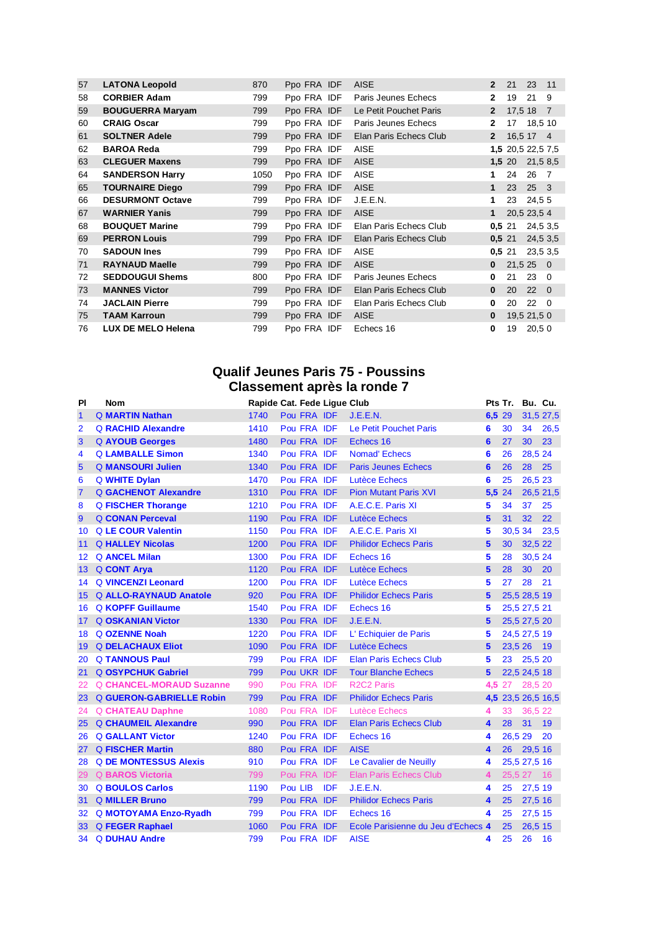| 57 | <b>LATONA Leopold</b>   | 870  | Ppo FRA IDF | <b>AISE</b>            | $\overline{2}$ | 21                | 23           | 11             |
|----|-------------------------|------|-------------|------------------------|----------------|-------------------|--------------|----------------|
| 58 | <b>CORBIER Adam</b>     | 799  | Ppo FRA IDF | Paris Jeunes Echecs    | $\mathbf{2}$   | 19                | 21           | 9              |
| 59 | <b>BOUGUERRA Maryam</b> | 799  | Ppo FRA IDF | Le Petit Pouchet Paris | $\mathbf{2}$   |                   | 17,5 18 7    |                |
| 60 | <b>CRAIG Oscar</b>      | 799  | Ppo FRA IDF | Paris Jeunes Echecs    | $\mathbf{2}$   | 17                | 18,5 10      |                |
| 61 | <b>SOLTNER Adele</b>    | 799  | Ppo FRA IDF | Elan Paris Echecs Club | $\overline{2}$ |                   | 16,5 17 4    |                |
| 62 | <b>BAROA Reda</b>       | 799  | Ppo FRA IDF | <b>AISE</b>            |                | 1,5 20,5 22,5 7,5 |              |                |
| 63 | <b>CLEGUER Maxens</b>   | 799  | Ppo FRA IDF | <b>AISE</b>            |                | 1,5,20            | 21,5 8,5     |                |
| 64 | <b>SANDERSON Harry</b>  | 1050 | Ppo FRA IDF | <b>AISE</b>            | 1              | 24                | 26           | $\overline{7}$ |
| 65 | <b>TOURNAIRE Diego</b>  | 799  | Ppo FRA IDF | <b>AISE</b>            | $\mathbf{1}$   | 23                | $25 \quad 3$ |                |
| 66 | <b>DESURMONT Octave</b> | 799  | Ppo FRA IDF | J.E.E.N.               | 1              | 23                | 24,55        |                |
| 67 | <b>WARNIER Yanis</b>    | 799  | Ppo FRA IDF | <b>AISE</b>            | 1              |                   | 20,5 23,5 4  |                |
| 68 | <b>BOUQUET Marine</b>   | 799  | Ppo FRA IDF | Elan Paris Echecs Club | 0,5,21         |                   | 24,5 3,5     |                |
| 69 | <b>PERRON Louis</b>     | 799  | Ppo FRA IDF | Elan Paris Echecs Club | 0.521          |                   | 24,5 3,5     |                |
| 70 | <b>SADOUN Ines</b>      | 799  | Ppo FRA IDF | <b>AISE</b>            | 0,5,21         |                   | 23,5 3,5     |                |
| 71 | <b>RAYNAUD Maelle</b>   | 799  | Ppo FRA IDF | <b>AISE</b>            | $\bf{0}$       | 21.5250           |              |                |
| 72 | <b>SEDDOUGUI Shems</b>  | 800  | Ppo FRA IDF | Paris Jeunes Echecs    | 0              | 21                | 23           | 0              |
| 73 | <b>MANNES Victor</b>    | 799  | Ppo FRA IDF | Elan Paris Echecs Club | $\bf{0}$       | 20                | 22           | $\Omega$       |
| 74 | <b>JACLAIN Pierre</b>   | 799  | Ppo FRA IDF | Elan Paris Echecs Club | 0              | 20                | 22           | $\Omega$       |
| 75 | <b>TAAM Karroun</b>     | 799  | Ppo FRA IDF | <b>AISE</b>            | $\bf{0}$       |                   | 19,5 21,5 0  |                |
| 76 | LUX DE MELO Helena      | 799  | Ppo FRA IDF | Echecs 16              | 0              | 19                | 20,50        |                |

# **Qualif Jeunes Paris 75 - Poussins Classement après la ronde 7**

| PI             | <b>Nom</b>                      | Rapide Cat. Fede Ligue Club |         |             |     |                                     |        | Pts Tr.      | Bu. Cu.         |                    |
|----------------|---------------------------------|-----------------------------|---------|-------------|-----|-------------------------------------|--------|--------------|-----------------|--------------------|
| $\mathbf{1}$   | <b>Q MARTIN Nathan</b>          | 1740                        |         | Pou FRA IDF |     | J.E.E.N.                            | 6,5 29 |              |                 | 31,5 27,5          |
| $\overline{2}$ | <b>Q RACHID Alexandre</b>       | 1410                        |         | Pou FRA IDF |     | Le Petit Pouchet Paris              | 6      | 30           | 34              | 26,5               |
| 3              | Q AYOUB Georges                 | 1480                        |         | Pou FRA IDF |     | Echecs 16                           | 6      | 27           | 30              | 23                 |
| 4              | <b>Q LAMBALLE Simon</b>         | 1340                        |         | Pou FRA IDF |     | Nomad' Echecs                       | 6      | 26           | 28,5 24         |                    |
| 5              | <b>Q MANSOURI Julien</b>        | 1340                        |         | Pou FRA IDF |     | <b>Paris Jeunes Echecs</b>          | 6      | 26           | 28 25           |                    |
| 6              | Q WHITE Dylan                   | 1470                        |         | Pou FRA IDF |     | Lutèce Echecs                       | 6      | 25           | 26,5 23         |                    |
| $\overline{7}$ | <b>Q GACHENOT Alexandre</b>     | 1310                        |         | Pou FRA IDF |     | <b>Pion Mutant Paris XVI</b>        | 5,5 24 |              |                 | 26,5 21,5          |
| 8              | Q FISCHER Thorange              | 1210                        |         | Pou FRA IDF |     | A.E.C.E. Paris XI                   | 5      | 34           | 37              | 25                 |
| 9              | <b>Q CONAN Perceval</b>         | 1190                        |         | Pou FRA IDF |     | Lutèce Echecs                       | 5      | 31           | 32 <sub>2</sub> | 22                 |
| 10             | <b>Q LE COUR Valentin</b>       | 1150                        |         | Pou FRA IDF |     | A.E.C.E. Paris XI                   | 5      | 30,5 34      |                 | 23,5               |
| 11             | <b>Q HALLEY Nicolas</b>         | 1200                        |         | Pou FRA IDF |     | <b>Philidor Echecs Paris</b>        | 5      | 30           | 32,5 22         |                    |
| 12             | <b>Q ANCEL Milan</b>            | 1300                        |         | Pou FRA IDF |     | Echecs 16                           | 5      | 28           | 30,5 24         |                    |
| 13             | Q CONT Arva                     | 1120                        |         | Pou FRA IDF |     | <b>Lutèce Echecs</b>                | 5      | 28           | 30              | 20                 |
| 14             | <b>Q VINCENZI Leonard</b>       | 1200                        |         | Pou FRA IDF |     | Lutèce Echecs                       | 5      | 27           | 28              | 21                 |
|                | 15 Q ALLO-RAYNAUD Anatole       | 920                         |         | Pou FRA IDF |     | <b>Philidor Echecs Paris</b>        | 5      | 25,5 28,5 19 |                 |                    |
| 16             | <b>Q KOPFF Guillaume</b>        | 1540                        |         | Pou FRA IDF |     | Echecs 16                           | 5      | 25,5 27,5 21 |                 |                    |
| 17             | <b>Q OSKANIAN Victor</b>        | 1330                        |         | Pou FRA IDF |     | J.E.E.N.                            | 5      | 25,5 27,5 20 |                 |                    |
| 18             | <b>Q OZENNE Noah</b>            | 1220                        |         | Pou FRA IDF |     | L' Echiquier de Paris               | 5      |              | 24,5 27,5 19    |                    |
| 19             | <b>Q DELACHAUX Eliot</b>        | 1090                        |         | Pou FRA IDF |     | Lutèce Echecs                       | 5      | 23,5 26 19   |                 |                    |
| 20             | <b>Q TANNOUS Paul</b>           | 799                         |         | Pou FRA IDF |     | <b>Elan Paris Echecs Club</b>       | 5      | 23           | 25,5 20         |                    |
| 21             | <b>Q OSYPCHUK Gabriel</b>       | 799                         |         | Pou UKR IDF |     | <b>Tour Blanche Echecs</b>          | 5      |              | 22,5 24,5 18    |                    |
| 22             | <b>Q CHANCEL-MORAUD Suzanne</b> | 990                         |         | Pou FRA IDF |     | R <sub>2</sub> C <sub>2</sub> Paris | 4.5 27 |              | 28,5 20         |                    |
| 23             | <b>Q GUERON-GABRIELLE Robin</b> | 799                         |         | Pou FRA IDF |     | <b>Philidor Echecs Paris</b>        |        |              |                 | 4,5 23,5 26,5 16,5 |
| 24             | <b>Q CHATEAU Daphne</b>         | 1080                        |         | Pou FRA IDF |     | <b>Lutèce Echecs</b>                | 4      | 33           | 36.5 22         |                    |
| 25             | <b>Q CHAUMEIL Alexandre</b>     | 990                         |         | Pou FRA IDF |     | <b>Elan Paris Echecs Club</b>       | 4      | 28           | 31              | 19 <sup>°</sup>    |
| 26             | <b>Q GALLANT Victor</b>         | 1240                        |         | Pou FRA IDF |     | Echecs 16                           | 4      | 26,5 29      |                 | 20                 |
| 27             | <b>Q FISCHER Martin</b>         | 880                         |         | Pou FRA IDF |     | <b>AISE</b>                         | 4      | 26           | 29,5 16         |                    |
| 28             | <b>Q DE MONTESSUS Alexis</b>    | 910                         |         | Pou FRA IDF |     | Le Cavalier de Neuilly              | 4      | 25,5 27,5 16 |                 |                    |
| 29             | <b>Q BAROS Victoria</b>         | 799                         |         | Pou FRA IDF |     | <b>Elan Paris Echecs Club</b>       | 4      |              | 25,5 27 16      |                    |
| 30             | <b>Q BOULOS Carlos</b>          | 1190                        | Pou LIB |             | IDF | J.E.E.N.                            | 4      | 25           | 27,5 19         |                    |
| 31             | <b>Q MILLER Bruno</b>           | 799                         |         | Pou FRA IDF |     | <b>Philidor Echecs Paris</b>        | 4      | 25           | 27,5 16         |                    |
| 32             | Q MOTOYAMA Enzo-Ryadh           | 799                         |         | Pou FRA IDF |     | Echecs 16                           | 4      | 25           | 27,5 15         |                    |
| 33             | <b>Q FEGER Raphael</b>          | 1060                        |         | Pou FRA IDF |     | Ecole Parisienne du Jeu d'Echecs 4  |        | 25           | 26,5 15         |                    |
| 34             | <b>Q DUHAU Andre</b>            | 799                         |         | Pou FRA IDF |     | <b>AISE</b>                         | 4      | 25           | 26              | 16                 |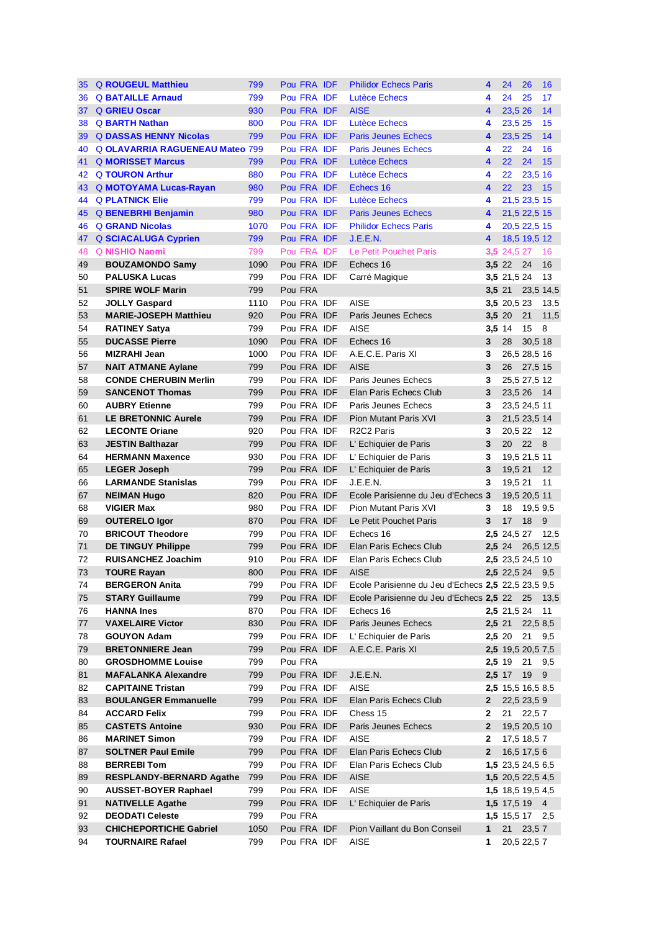| 35 | <b>Q ROUGEUL Matthieu</b>              | 799  | Pou FRA IDF |  | <b>Philidor Echecs Paris</b>                       | 4            | 24                    | 26           | 16        |
|----|----------------------------------------|------|-------------|--|----------------------------------------------------|--------------|-----------------------|--------------|-----------|
|    | 36 Q BATAILLE Arnaud                   | 799  | Pou FRA IDF |  | Lutèce Echecs                                      | 4            | 24                    | 25           | 17        |
| 37 | <b>Q GRIEU Oscar</b>                   | 930  | Pou FRA IDF |  | <b>AISE</b>                                        | 4            | 23,5 26               |              | 14        |
| 38 | <b>Q BARTH Nathan</b>                  | 800  | Pou FRA IDF |  | Lutèce Echecs                                      | 4            | 23,5 25               |              | 15        |
| 39 | <b>Q DASSAS HENNY Nicolas</b>          | 799  | Pou FRA IDF |  | <b>Paris Jeunes Echecs</b>                         | 4            | 23,5 25               |              | 14        |
| 40 | <b>Q OLAVARRIA RAGUENEAU Mateo 799</b> |      | Pou FRA IDF |  | <b>Paris Jeunes Echecs</b>                         | 4            | 22                    | 24           | 16        |
| 41 | <b>Q MORISSET Marcus</b>               | 799  | Pou FRA IDF |  | Lutèce Echecs                                      | 4            | 22                    | 24           | 15        |
| 42 | <b>Q TOURON Arthur</b>                 | 880  | Pou FRA IDF |  | Lutèce Echecs                                      | 4            | 22                    | 23,5 16      |           |
|    | 43 Q MOTOYAMA Lucas-Rayan              | 980  | Pou FRA IDF |  | Echecs 16                                          | 4            | 22                    | 23           | 15        |
| 44 | <b>Q PLATNICK Elie</b>                 | 799  | Pou FRA IDF |  | <b>Lutèce Echecs</b>                               | 4            |                       | 21,5 23,5 15 |           |
| 45 | <b>Q BENEBRHI Benjamin</b>             | 980  | Pou FRA IDF |  | <b>Paris Jeunes Echecs</b>                         | 4            |                       | 21,5 22,5 15 |           |
| 46 | <b>Q GRAND Nicolas</b>                 | 1070 | Pou FRA IDF |  | <b>Philidor Echecs Paris</b>                       | 4            |                       | 20,5 22,5 15 |           |
|    | 47 Q SCIACALUGA Cyprien                | 799  | Pou FRA IDF |  | J.E.E.N.                                           | 4            |                       | 18,5 19,5 12 |           |
| 48 | Q NISHIO Naomi                         | 799  | Pou FRA IDF |  | Le Petit Pouchet Paris                             |              | <b>3,5</b> 24,5 27 16 |              |           |
| 49 | <b>BOUZAMONDO Samy</b>                 | 1090 | Pou FRA IDF |  | Echecs 16                                          | 3,5 22       |                       | - 24         | 16        |
| 50 | <b>PALUSKA Lucas</b>                   | 799  | Pou FRA IDF |  | Carré Magique                                      |              | 3,5 21,5 24           |              | 13        |
| 51 | <b>SPIRE WOLF Marin</b>                | 799  | Pou FRA     |  |                                                    | 3,5 21       |                       |              | 23,5 14,5 |
| 52 | <b>JOLLY Gaspard</b>                   | 1110 | Pou FRA IDF |  | <b>AISE</b>                                        |              | 3,5 20,5 23           |              | 13,5      |
| 53 | <b>MARIE-JOSEPH Matthieu</b>           | 920  | Pou FRA IDF |  | Paris Jeunes Echecs                                | 3,5 20       |                       | 21           | 11,5      |
| 54 | <b>RATINEY Satya</b>                   | 799  | Pou FRA IDF |  | <b>AISE</b>                                        | 3,5 14       |                       | 15           | 8         |
| 55 | <b>DUCASSE Pierre</b>                  | 1090 | Pou FRA IDF |  | Echecs 16                                          | 3            | 28                    | 30,5 18      |           |
| 56 | <b>MIZRAHI Jean</b>                    | 1000 | Pou FRA IDF |  | A.E.C.E. Paris XI                                  | 3            |                       | 26,5 28,5 16 |           |
| 57 | <b>NAIT ATMANE Aylane</b>              | 799  | Pou FRA IDF |  | <b>AISE</b>                                        | 3            | 26                    | 27,5 15      |           |
|    |                                        |      |             |  |                                                    |              |                       |              |           |
| 58 | <b>CONDE CHERUBIN Merlin</b>           | 799  | Pou FRA IDF |  | Paris Jeunes Echecs                                | 3            |                       | 25,5 27,5 12 |           |
| 59 | <b>SANCENOT Thomas</b>                 | 799  | Pou FRA IDF |  | Elan Paris Echecs Club                             | 3            |                       | 23,5 26 14   |           |
| 60 | <b>AUBRY Etienne</b>                   | 799  | Pou FRA IDF |  | Paris Jeunes Echecs                                | 3<br>3       |                       | 23,5 24,5 11 |           |
| 61 | <b>LE BRETONNIC Aurele</b>             | 799  | Pou FRA IDF |  | Pion Mutant Paris XVI                              |              |                       | 21,5 23,5 14 |           |
| 62 | <b>LECONTE Oriane</b>                  | 920  | Pou FRA IDF |  | R2C2 Paris                                         | 3            |                       | 20,5 22 12   |           |
| 63 | <b>JESTIN Balthazar</b>                | 799  | Pou FRA IDF |  | L' Echiquier de Paris                              | 3            | 20                    | 22 8         |           |
| 64 | <b>HERMANN Maxence</b>                 | 930  | Pou FRA IDF |  | L' Echiquier de Paris                              | 3            |                       | 19,5 21,5 11 |           |
| 65 | <b>LEGER Joseph</b>                    | 799  | Pou FRA IDF |  | L' Echiquier de Paris                              | 3            | 19,5 21               |              | 12        |
| 66 | <b>LARMANDE Stanislas</b>              | 799  | Pou FRA IDF |  | J.E.E.N.                                           | 3            | 19,5 21               |              | 11        |
| 67 | <b>NEIMAN Hugo</b>                     | 820  | Pou FRA IDF |  | Ecole Parisienne du Jeu d'Echecs 3                 |              |                       | 19,5 20,5 11 |           |
| 68 | <b>VIGIER Max</b>                      | 980  | Pou FRA IDF |  | Pion Mutant Paris XVI                              | 3            | 18                    | 19,5 9,5     |           |
| 69 | <b>OUTERELO Igor</b>                   | 870  | Pou FRA IDF |  | Le Petit Pouchet Paris                             | 3            | 17                    | 18 9         |           |
| 70 | <b>BRICOUT Theodore</b>                | 799  | Pou FRA IDF |  | Echecs 16                                          |              | 2,5 24,5 27           |              | 12,5      |
| 71 | <b>DE TINGUY Philippe</b>              | 799  | Pou FRA IDF |  | Elan Paris Echecs Club                             |              | 2.524                 |              | 26,5 12,5 |
| 72 | <b>RUISANCHEZ Joachim</b>              | 910  | Pou FRA IDF |  | Elan Paris Echecs Club                             |              | 2,5 23,5 24,5 10      |              |           |
| 73 | <b>TOURE Rayan</b>                     | 800  | Pou FRA IDF |  | <b>AISE</b>                                        |              | 2,5 22,5 24 9,5       |              |           |
| 74 | <b>BERGERON Anita</b>                  | 799  | Pou FRA IDF |  | Ecole Parisienne du Jeu d'Echecs 2,5 22,5 23,5 9,5 |              |                       |              |           |
| 75 | <b>STARY Guillaume</b>                 | 799  | Pou FRA IDF |  | Ecole Parisienne du Jeu d'Echecs 2,5 22 25         |              |                       |              | 13,5      |
| 76 | <b>HANNA Ines</b>                      | 870  | Pou FRA IDF |  | Echecs 16                                          |              | 2,5 21,5 24           |              | 11        |
| 77 | <b>VAXELAIRE Victor</b>                | 830  | Pou FRA IDF |  | Paris Jeunes Echecs                                | 2,5 21       |                       | 22,5 8,5     |           |
| 78 | <b>GOUYON Adam</b>                     | 799  | Pou FRA IDF |  | L' Echiquier de Paris                              | 2,5 20       |                       | 21           | 9,5       |
| 79 | <b>BRETONNIERE Jean</b>                | 799  | Pou FRA IDF |  | A.E.C.E. Paris XI                                  |              | 2,5 19,5 20,5 7,5     |              |           |
| 80 | <b>GROSDHOMME Louise</b>               | 799  | Pou FRA     |  |                                                    | 2,5 19       |                       | 21           | 9,5       |
| 81 | <b>MAFALANKA Alexandre</b>             | 799  | Pou FRA IDF |  | J.E.E.N.                                           | 2,5 17       |                       | 19           | 9         |
| 82 | <b>CAPITAINE Tristan</b>               | 799  | Pou FRA IDF |  | <b>AISE</b>                                        |              | 2,5 15,5 16,5 8,5     |              |           |
| 83 | <b>BOULANGER Emmanuelle</b>            | 799  | Pou FRA IDF |  | Elan Paris Echecs Club                             | $\mathbf{2}$ |                       | 22,5 23,5 9  |           |
| 84 | <b>ACCARD Felix</b>                    | 799  | Pou FRA IDF |  | Chess 15                                           | 2            | 21                    | 22,57        |           |
| 85 | <b>CASTETS Antoine</b>                 | 930  | Pou FRA IDF |  | Paris Jeunes Echecs                                | $\mathbf{2}$ |                       | 19,5 20,5 10 |           |
| 86 | <b>MARINET Simon</b>                   | 799  | Pou FRA IDF |  | <b>AISE</b>                                        | 2            |                       | 17,5 18,5 7  |           |
| 87 | <b>SOLTNER Paul Emile</b>              | 799  | Pou FRA IDF |  | Elan Paris Echecs Club                             | $\mathbf{2}$ |                       | 16,5 17,5 6  |           |
| 88 | <b>BERREBITom</b>                      | 799  | Pou FRA IDF |  | Elan Paris Echecs Club                             |              | 1,5 23,5 24,5 6,5     |              |           |
| 89 | <b>RESPLANDY-BERNARD Agathe</b>        | 799  | Pou FRA IDF |  | <b>AISE</b>                                        |              | 1,5 20,5 22,5 4,5     |              |           |
| 90 | <b>AUSSET-BOYER Raphael</b>            | 799  | Pou FRA IDF |  | <b>AISE</b>                                        |              | 1,5 18,5 19,5 4,5     |              |           |
| 91 | <b>NATIVELLE Agathe</b>                | 799  | Pou FRA IDF |  | L' Echiquier de Paris                              |              | 1,5 17,5 19 4         |              |           |
| 92 | <b>DEODATI Celeste</b>                 | 799  | Pou FRA     |  |                                                    |              | 1,5 15,5 17 2,5       |              |           |
| 93 | <b>CHICHEPORTICHE Gabriel</b>          | 1050 | Pou FRA IDF |  | Pion Vaillant du Bon Conseil                       | $\mathbf{1}$ | 21                    | 23,57        |           |
| 94 | <b>TOURNAIRE Rafael</b>                | 799  | Pou FRA IDF |  | AISE                                               | 1            |                       | 20,5 22,5 7  |           |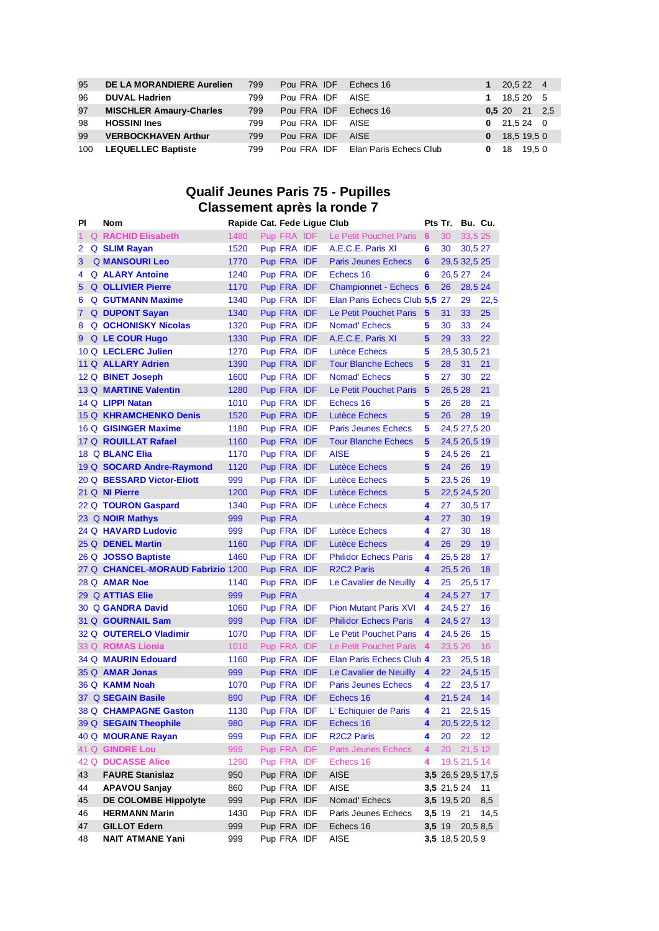| 95  | DE LA MORANDIERE Aurelien      | 799 | Pou FRA IDF      | Echecs 16                          |          | 1 20.5 22 4     |  |
|-----|--------------------------------|-----|------------------|------------------------------------|----------|-----------------|--|
| 96  | <b>DUVAL Hadrien</b>           | 799 | Pou FRA IDF AISE |                                    |          | 1 $18,520$ 5    |  |
| 97  | <b>MISCHLER Amaury-Charles</b> | 799 | Pou FRA IDF      | Echecs 16                          |          | 0,5,20,21,2,5   |  |
| 98  | <b>HOSSINI Ines</b>            | 799 | Pou FRA IDF AISE |                                    |          | $0$ 21,5 24 0   |  |
| 99  | <b>VERBOCKHAVEN Arthur</b>     | 799 | Pou FRA IDF AISE |                                    |          | $0$ 18,5 19,5 0 |  |
| 100 | <b>LEQUELLEC Baptiste</b>      | 799 |                  | Pou FRA IDF Elan Paris Echecs Club | $0 \t18$ | 19,50           |  |

# **Qualif Jeunes Paris 75 - Pupilles Classement après la ronde 7**

| ΡI             | Nom                               | Rapide Cat. Fede Ligue Club |                |                               |                | Pts Tr.         | Bu. Cu.      |                    |
|----------------|-----------------------------------|-----------------------------|----------------|-------------------------------|----------------|-----------------|--------------|--------------------|
| 1              | <b>Q</b> RACHID Elisabeth         | 1480                        | Pup FRA IDF    | Le Petit Pouchet Paris 6      |                | 30              | 33,5 25      |                    |
| 2              | Q SLIM Rayan                      | 1520                        | Pup FRA IDF    | A.E.C.E. Paris XI             | 6              | 30              | 30,5 27      |                    |
| 3              | <b>Q MANSOURI Leo</b>             | 1770                        | Pup FRA IDF    | <b>Paris Jeunes Echecs</b>    | 6              |                 | 29,5 32,5 25 |                    |
| 4              | <b>Q ALARY Antoine</b>            | 1240                        | Pup FRA IDF    | Echecs 16                     | 6              | 26,5 27         |              | 24                 |
| 5              | <b>Q OLLIVIER Pierre</b>          | 1170                        | Pup FRA IDF    | <b>Championnet - Echecs 6</b> |                | 26              | 28,5 24      |                    |
| 6              | <b>Q GUTMANN Maxime</b>           | 1340                        | Pup FRA IDF    | Elan Paris Echecs Club 5,5    |                | 27              | 29           | 22,5               |
| $\overline{7}$ | <b>Q</b> DUPONT Sayan             | 1340                        | Pup FRA IDF    | Le Petit Pouchet Paris        | 5              | 31              | 33           | 25                 |
| 8              | <b>Q OCHONISKY Nicolas</b>        | 1320                        | Pup FRA IDF    | <b>Nomad' Echecs</b>          | 5              | 30              | 33           | 24                 |
| 9              | <b>Q</b> LE COUR Hugo             | 1330                        | Pup FRA IDF    | A.E.C.E. Paris XI             | 5              | 29              | 33           | 22                 |
|                | 10 Q LECLERC Julien               | 1270                        | Pup FRA IDF    | Lutèce Echecs                 | 5              |                 | 28,5 30,5 21 |                    |
|                | 11 Q ALLARY Adrien                | 1390                        | Pup FRA IDF    | <b>Tour Blanche Echecs</b>    | 5              | 28              | 31           | 21                 |
|                | 12 Q BINET Joseph                 | 1600                        | Pup FRA IDF    | <b>Nomad' Echecs</b>          | 5              | 27              | 30           | 22                 |
|                | 13 Q MARTINE Valentin             | 1280                        | Pup FRA IDF    | Le Petit Pouchet Paris        | 5              | 26,5 28         |              | 21                 |
|                | 14 Q LIPPI Natan                  | 1010                        | Pup FRA IDF    | Echecs 16                     | 5              | 26              | 28           | 21                 |
|                | 15 Q KHRAMCHENKO Denis            | 1520                        | Pup FRA IDF    | Lutèce Echecs                 | 5              | 26              | 28           | 19                 |
|                | 16 Q GISINGER Maxime              | 1180                        | Pup FRA IDF    | <b>Paris Jeunes Echecs</b>    | 5              |                 | 24,5 27,5 20 |                    |
|                | 17 Q ROUILLAT Rafael              | 1160                        | Pup FRA IDF    | <b>Tour Blanche Echecs</b>    | 5              |                 | 24,5 26,5 19 |                    |
|                | 18 Q BLANC Elia                   | 1170                        | Pup FRA IDF    | <b>AISE</b>                   | 5              | 24,5 26         |              | 21                 |
|                | 19 Q SOCARD Andre-Raymond         | 1120                        | Pup FRA IDF    | Lutèce Echecs                 | 5              | 24              | 26           | 19                 |
|                | 20 Q BESSARD Victor-Eliott        | 999                         | Pup FRA IDF    | Lutèce Echecs                 | 5              | 23,5 26         |              | 19                 |
|                | 21 Q NI Pierre                    | 1200                        | Pup FRA IDF    | Lutèce Echecs                 | 5              |                 | 22,5 24,5 20 |                    |
|                | 22 Q TOURON Gaspard               | 1340                        | Pup FRA IDF    | Lutèce Echecs                 | 4              | 27              | 30,5 17      |                    |
|                | 23 Q NOIR Mathys                  | 999                         | <b>Pup FRA</b> |                               | 4              | 27              | 30           | 19                 |
|                | 24 Q HAVARD Ludovic               | 999                         | Pup FRA IDF    | Lutèce Echecs                 | 4              | 27              | 30           | 18                 |
|                | 25 Q DENEL Martin                 | 1160                        | Pup FRA IDF    | Lutèce Echecs                 | 4              | 26              | 29           | 19                 |
|                | 26 Q JOSSO Baptiste               | 1460                        | Pup FRA IDF    | <b>Philidor Echecs Paris</b>  | 4              | 25,5 28         |              | 17                 |
|                | 27 Q CHANCEL-MORAUD Fabrizio 1200 |                             | Pup FRA IDF    | <b>R2C2 Paris</b>             | 4              | 25,5 26         |              | 18                 |
|                | 28 Q AMAR Noe                     | 1140                        | Pup FRA IDF    | Le Cavalier de Neuilly        | 4              | 25              | 25,5 17      |                    |
|                | 29 Q ATTIAS Elie                  | 999                         | <b>Pup FRA</b> |                               | 4              | 24,5 27         |              | 17                 |
|                | 30 Q GANDRA David                 | 1060                        | Pup FRA IDF    | <b>Pion Mutant Paris XVI</b>  | 4              | 24,5 27         |              | 16                 |
|                | 31 Q GOURNAIL Sam                 | 999                         | Pup FRA IDF    | <b>Philidor Echecs Paris</b>  | 4              | 24,5 27         |              | 13                 |
|                | 32 Q OUTERELO Vladimir            | 1070                        | Pup FRA IDF    | Le Petit Pouchet Paris        | 4              | 24,5 26         |              | 15                 |
|                | 33 Q ROMAS Lionia                 | 1010                        | Pup FRA IDF    | Le Petit Pouchet Paris        | $\overline{4}$ | 23,5 26         |              | 16                 |
|                | 34 Q MAURIN Edouard               | 1160                        | Pup FRA IDF    | Elan Paris Echecs Club 4      |                | 23              | 25,5 18      |                    |
|                | 35 Q AMAR Jonas                   | 999                         | Pup FRA IDF    | Le Cavalier de Neuilly        | 4              | 22              | 24,5 15      |                    |
|                | 36 Q KAMM Noah                    | 1070                        | Pup FRA IDF    | <b>Paris Jeunes Echecs</b>    | 4              | 22              | 23,5 17      |                    |
|                | 37 Q SEGAIN Basile                | 890                         | Pup FRA IDF    | Echecs 16                     | 4              | 21,5 24         |              | 14                 |
|                | 38 Q CHAMPAGNE Gaston             | 1130                        | Pup FRA IDF    | L' Echiquier de Paris         | 4              | 21 22,5 15      |              |                    |
|                | 39 Q SEGAIN Theophile             | 980                         | Pup FRA IDF    | Echecs 16                     | 4              |                 | 20,5 22,5 12 |                    |
|                | 40 Q MOURANE Rayan                | 999                         | Pup FRA IDF    | <b>R2C2 Paris</b>             | 4              | 20              | 22           | 12                 |
|                | 41 Q GINDRE Lou                   | 999                         | Pup FRA IDF    | <b>Paris Jeunes Echecs</b>    | 4              | 20              | 21,512       |                    |
|                | 42 Q DUCASSE Alice                | 1290                        | Pup FRA IDF    | Echecs 16                     | 4              |                 | 19,5 21,5 14 |                    |
| 43             | <b>FAURE Stanislaz</b>            | 950                         | Pup FRA IDF    | <b>AISE</b>                   |                |                 |              | 3,5 26,5 29,5 17,5 |
| 44             | <b>APAVOU Sanjay</b>              | 860                         | Pup FRA IDF    | <b>AISE</b>                   |                | 3,5 21,5 24     |              | 11                 |
| 45             | <b>DE COLOMBE Hippolyte</b>       | 999                         | Pup FRA IDF    | Nomad' Echecs                 |                | 3,5 19,5 20     |              | 8,5                |
| 46             | <b>HERMANN Marin</b>              | 1430                        | Pup FRA IDF    | Paris Jeunes Echecs           |                | 3,5 19          | 21           | 14,5               |
| 47             | <b>GILLOT Edern</b>               | 999                         | Pup FRA IDF    | Echecs 16                     |                | 3,5 19          | 20,5 8,5     |                    |
| 48             | <b>NAIT ATMANE Yani</b>           | 999                         | Pup FRA IDF    | AISE                          |                | 3,5 18,5 20,5 9 |              |                    |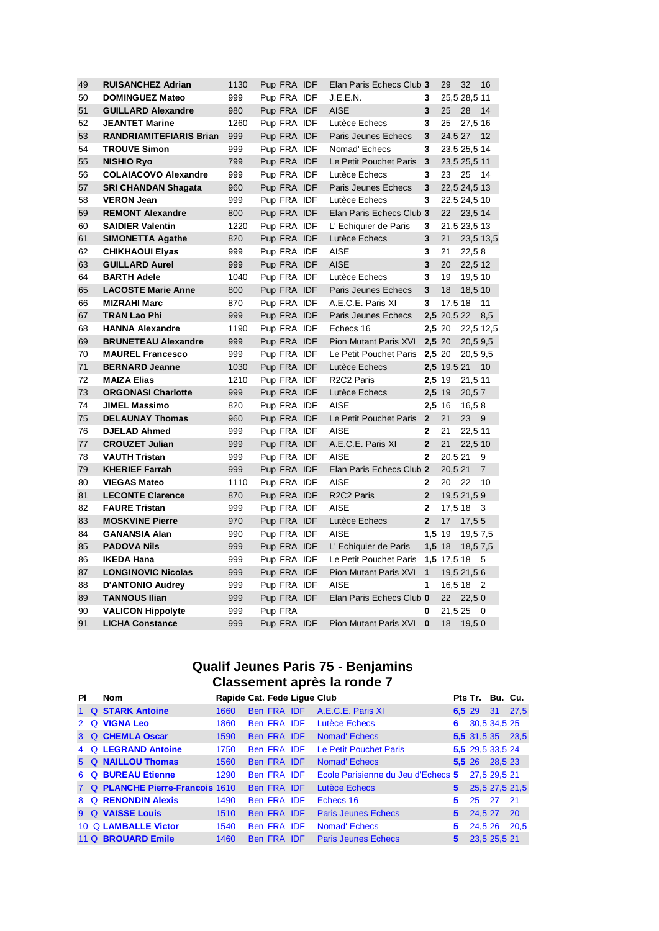| 49 | <b>RUISANCHEZ Adrian</b>       | 1130 | Pup FRA IDF | Elan Paris Echecs Club 3            |                | 29          | 32           | 16             |
|----|--------------------------------|------|-------------|-------------------------------------|----------------|-------------|--------------|----------------|
| 50 | <b>DOMINGUEZ Mateo</b>         | 999  | Pup FRA IDF | J.E.E.N.                            | 3              |             | 25,5 28,5 11 |                |
| 51 | <b>GUILLARD Alexandre</b>      | 980  | Pup FRA IDF | <b>AISE</b>                         | 3              | 25          | 28           | 14             |
| 52 | <b>JEANTET Marine</b>          | 1260 | Pup FRA IDF | Lutèce Echecs                       | 3              | 25          | 27,5 16      |                |
| 53 | <b>RANDRIAMITEFIARIS Brian</b> | 999  | Pup FRA IDF | Paris Jeunes Echecs                 | 3              | 24,5 27     |              | 12             |
| 54 | <b>TROUVE Simon</b>            | 999  | Pup FRA IDF | Nomad' Echecs                       | 3              |             | 23,5 25,5 14 |                |
| 55 | <b>NISHIO Ryo</b>              | 799  | Pup FRA IDF | Le Petit Pouchet Paris              | 3              |             | 23,5 25,5 11 |                |
| 56 | <b>COLAIACOVO Alexandre</b>    | 999  | Pup FRA IDF | Lutèce Echecs                       | 3              | 23          | 25           | -14            |
| 57 | <b>SRI CHANDAN Shagata</b>     | 960  | Pup FRA IDF | Paris Jeunes Echecs                 | 3              |             | 22,5 24,5 13 |                |
| 58 | <b>VERON Jean</b>              | 999  | Pup FRA IDF | Lutèce Echecs                       | 3              |             | 22,5 24,5 10 |                |
| 59 | <b>REMONT Alexandre</b>        | 800  | Pup FRA IDF | Elan Paris Echecs Club 3            |                | 22          | 23,5 14      |                |
| 60 | <b>SAIDIER Valentin</b>        | 1220 | Pup FRA IDF | L' Echiquier de Paris               | 3              |             | 21,5 23,5 13 |                |
| 61 | <b>SIMONETTA Agathe</b>        | 820  | Pup FRA IDF | Lutèce Echecs                       | 3              | 21          |              | 23,5 13,5      |
| 62 | <b>CHIKHAOUI Elyas</b>         | 999  | Pup FRA IDF | <b>AISE</b>                         | 3              | 21          | 22,58        |                |
| 63 | <b>GUILLARD Aurel</b>          | 999  | Pup FRA IDF | <b>AISE</b>                         | 3              | 20          | 22,5 12      |                |
| 64 | <b>BARTH Adele</b>             | 1040 | Pup FRA IDF | Lutèce Echecs                       | 3              | 19          | 19,5 10      |                |
| 65 | <b>LACOSTE Marie Anne</b>      | 800  | Pup FRA IDF | Paris Jeunes Echecs                 | 3              | 18          | 18,5 10      |                |
| 66 | <b>MIZRAHI Marc</b>            | 870  | Pup FRA IDF | A.E.C.E. Paris XI                   | 3              | 17,5 18     |              | 11             |
| 67 | <b>TRAN Lao Phi</b>            | 999  | Pup FRA IDF | Paris Jeunes Echecs                 |                | 2,5 20,5 22 |              | 8,5            |
| 68 | <b>HANNA Alexandre</b>         | 1190 | Pup FRA IDF | Echecs 16                           | 2,5 20         |             |              | 22,5 12,5      |
| 69 | <b>BRUNETEAU Alexandre</b>     | 999  | Pup FRA IDF | <b>Pion Mutant Paris XVI</b>        | 2,5 20         |             | 20,5 9,5     |                |
| 70 | <b>MAUREL Francesco</b>        | 999  | Pup FRA IDF | Le Petit Pouchet Paris              | 2,5 20         |             | 20,5 9,5     |                |
| 71 | <b>BERNARD Jeanne</b>          | 1030 | Pup FRA IDF | Lutèce Echecs                       |                | 2,5 19,5 21 |              | 10             |
| 72 | <b>MAIZA Elias</b>             | 1210 | Pup FRA IDF | R <sub>2</sub> C <sub>2</sub> Paris | $2,5$ 19       |             | 21,5 11      |                |
| 73 | <b>ORGONASI Charlotte</b>      | 999  | Pup FRA IDF | Lutèce Echecs                       | 2,5 19         |             | 20,57        |                |
| 74 | <b>JIMEL Massimo</b>           | 820  | Pup FRA IDF | <b>AISE</b>                         | $2,5$ 16       |             | 16,58        |                |
| 75 | <b>DELAUNAY Thomas</b>         | 960  | Pup FRA IDF | Le Petit Pouchet Paris              | $\overline{2}$ | 21          | 23 9         |                |
| 76 | <b>DJELAD Ahmed</b>            | 999  | Pup FRA IDF | <b>AISE</b>                         | $\mathbf{2}$   | 21          | 22,5 11      |                |
| 77 | <b>CROUZET Julian</b>          | 999  | Pup FRA IDF | A.E.C.E. Paris XI                   | $\overline{2}$ | 21          | 22.5 10      |                |
| 78 | <b>VAUTH Tristan</b>           | 999  | Pup FRA IDF | <b>AISE</b>                         | $\mathbf{2}$   | 20,5 21     |              | 9              |
| 79 | <b>KHERIEF Farrah</b>          | 999  | Pup FRA IDF | Elan Paris Echecs Club 2            |                | 20,5 21     |              | $\overline{7}$ |
| 80 | <b>VIEGAS Mateo</b>            | 1110 | Pup FRA IDF | <b>AISE</b>                         | $\mathbf{2}$   | 20          | 22           | 10             |
| 81 | <b>LECONTE Clarence</b>        | 870  | Pup FRA IDF | R2C2 Paris                          | 2 <sup>2</sup> |             | 19,5 21,5 9  |                |
| 82 | <b>FAURE Tristan</b>           | 999  | Pup FRA IDF | AISE                                | $\mathbf{2}$   | 17,5 18     |              | -3             |
| 83 | <b>MOSKVINE Pierre</b>         | 970  | Pup FRA IDF | Lutèce Echecs                       | $\overline{2}$ | 17          | 17,55        |                |
| 84 | <b>GANANSIA Alan</b>           | 990  | Pup FRA IDF | <b>AISE</b>                         | 1,5 19         |             | 19,5 7,5     |                |
| 85 | <b>PADOVA Nils</b>             | 999  | Pup FRA IDF | L' Echiquier de Paris               | $1,5$ 18       |             | 18,5 7,5     |                |
| 86 | <b>IKEDA Hana</b>              | 999  | Pup FRA IDF | Le Petit Pouchet Paris              |                | 1,5 17,5 18 |              | - 5            |
| 87 | <b>LONGINOVIC Nicolas</b>      | 999  | Pup FRA IDF | <b>Pion Mutant Paris XVI</b>        | $\overline{1}$ |             | 19,5 21,5 6  |                |
| 88 | <b>D'ANTONIO Audrey</b>        | 999  | Pup FRA IDF | <b>AISE</b>                         | 1              | 16,5 18     |              | $\overline{2}$ |
| 89 | <b>TANNOUS Ilian</b>           | 999  | Pup FRA IDF | Elan Paris Echecs Club 0            |                | 22          | 22,50        |                |
| 90 | <b>VALICON Hippolyte</b>       | 999  | Pup FRA     |                                     | 0              | 21,5 25     |              | - 0            |
| 91 | <b>LICHA Constance</b>         | 999  | Pup FRA IDF | <b>Pion Mutant Paris XVI</b>        | $\bf{0}$       | 18          | 19,50        |                |

#### **Qualif Jeunes Paris 75 - Benjamins Classement après la ronde 7**

| ΡI | <b>Nom</b>                       | Rapide Cat. Fede Lique Club |             |                                    |             | Pts Tr. Bu. Cu.  |         |                  |
|----|----------------------------------|-----------------------------|-------------|------------------------------------|-------------|------------------|---------|------------------|
|    | 1 Q STARK Antoine                | 1660                        | Ben FRA IDF | A.E.C.E. Paris XI                  | 6,5 29      |                  |         | 31 27,5          |
|    | 2 Q VIGNA Leo                    | 1860                        | Ben FRA IDF | Lutèce Echecs                      | 6           | 30,5 34,5 25     |         |                  |
|    | 3 Q CHEMLA Oscar                 | 1590                        | Ben FRA IDF | <b>Nomad'</b> Echecs               |             |                  |         | 5,5 31,5 35 23,5 |
|    | 4 Q LEGRAND Antoine              | 1750                        | Ben FRA IDF | Le Petit Pouchet Paris             |             | 5,5 29,5 33,5 24 |         |                  |
|    | 5 Q NAILLOU Thomas               | 1560                        | Ben FRA IDF | <b>Nomad'</b> Echecs               |             | 5.526            | 28,5 23 |                  |
|    | 6 Q BUREAU Etienne               | 1290                        | Ben FRA IDF | Ecole Parisienne du Jeu d'Echecs 5 |             | 27,5 29,5 21     |         |                  |
|    | 7 Q PLANCHE Pierre-Francois 1610 |                             | Ben FRA IDF | <b>Lutèce Echecs</b>               | 5.          |                  |         | 25,5 27,5 21,5   |
|    | 8 Q RENONDIN Alexis              | 1490                        | Ben FRA IDF | Echecs 16                          | 5.          | 25               | 27      | 21               |
|    | 9 Q VAISSE Louis                 | 1510                        | Ben FRA IDF | <b>Paris Jeunes Echecs</b>         | $5^{\circ}$ | 24,5 27          |         | <b>20</b>        |
|    | 10 Q LAMBALLE Victor             | 1540                        | Ben FRA IDF | Nomad' Echecs                      | 5           | 24.5 26          |         | 20,5             |
|    | 11 Q BROUARD Emile               | 1460                        | Ben FRA IDF | <b>Paris Jeunes Echecs</b>         | 5           | 23.5 25.5 21     |         |                  |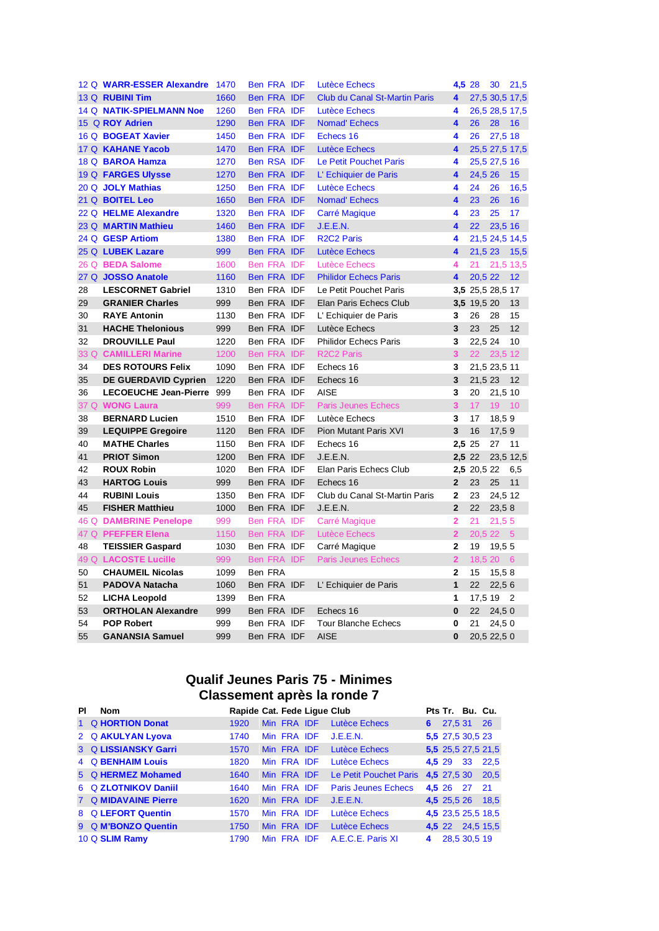|    | 12 Q WARR-ESSER Alexandre   | 1470 | Ben FRA IDF        | <b>Lutèce Echecs</b>                 | 4,5 28                  |                  | 30             | 21,5           |
|----|-----------------------------|------|--------------------|--------------------------------------|-------------------------|------------------|----------------|----------------|
|    | 13 Q RUBINI Tim             | 1660 | Ben FRA IDF        | <b>Club du Canal St-Martin Paris</b> | 4                       |                  | 27,5 30,5 17,5 |                |
|    | 14 Q NATIK-SPIELMANN Noe    | 1260 | Ben FRA IDF        | <b>Lutèce Echecs</b>                 | 4                       |                  | 26,5 28,5 17,5 |                |
|    | 15 Q ROY Adrien             | 1290 | <b>Ben FRA IDF</b> | <b>Nomad' Echecs</b>                 | 4                       | 26               | 28             | 16             |
|    | 16 Q BOGEAT Xavier          | 1450 | <b>Ben FRA IDF</b> | Echecs 16                            | 4                       | 26               | 27,5 18        |                |
|    | 17 Q KAHANE Yacob           | 1470 | Ben FRA IDF        | Lutèce Echecs                        | 4                       |                  |                | 25,5 27,5 17,5 |
|    | 18 Q BAROA Hamza            | 1270 | <b>Ben RSA IDF</b> | Le Petit Pouchet Paris               | 4                       |                  | 25,5 27,5 16   |                |
|    | 19 Q FARGES Ulysse          | 1270 | Ben FRA IDF        | L'Echiquier de Paris                 | 4                       | 24,5 26          |                | 15             |
|    | 20 Q JOLY Mathias           | 1250 | Ben FRA IDF        | <b>Lutèce Echecs</b>                 | 4                       | 24               | 26             | 16,5           |
|    | 21 Q BOITEL Leo             | 1650 | Ben FRA IDF        | <b>Nomad' Echecs</b>                 | $\overline{\mathbf{4}}$ | 23               | 26             | 16             |
|    | 22 Q HELME Alexandre        | 1320 | <b>Ben FRA IDF</b> | Carré Magique                        | 4                       | 23               | 25             | 17             |
|    | 23 Q MARTIN Mathieu         | 1460 | Ben FRA IDF        | J.E.E.N.                             | 4                       | 22               | 23,5 16        |                |
|    | 24 Q GESP Artiom            | 1380 | Ben FRA IDF        | <b>R2C2 Paris</b>                    | 4                       |                  | 21,5 24,5 14,5 |                |
|    | 25 Q LUBEK Lazare           | 999  | <b>Ben FRA IDF</b> | <b>Lutèce Echecs</b>                 | 4                       | 21,5 23          |                | 15,5           |
|    | 26 Q BEDA Salome            | 1600 | Ben FRA IDF        | Lutèce Echecs                        | 4                       | 21               |                | 21,5 13,5      |
|    | 27 Q JOSSO Anatole          | 1160 | Ben FRA IDF        | <b>Philidor Echecs Paris</b>         | 4                       | 20,5 22          |                | 12             |
| 28 | <b>LESCORNET Gabriel</b>    | 1310 | Ben FRA IDF        | Le Petit Pouchet Paris               |                         | 3,5 25,5 28,5 17 |                |                |
| 29 | <b>GRANIER Charles</b>      | 999  | Ben FRA IDF        | Elan Paris Echecs Club               |                         | 3,5 19,5 20      |                | 13             |
| 30 | <b>RAYE Antonin</b>         | 1130 | Ben FRA IDF        | L' Echiquier de Paris                | 3                       | 26               | 28             | 15             |
| 31 | <b>HACHE Thelonious</b>     | 999  | Ben FRA IDF        | Lutèce Echecs                        | 3                       | 23               | 25             | 12             |
| 32 | <b>DROUVILLE Paul</b>       | 1220 | Ben FRA IDF        | <b>Philidor Echecs Paris</b>         | 3                       | 22,5 24          |                | 10             |
|    | 33 Q CAMILLERI Marine       | 1200 | Ben FRA IDF        | R <sub>2</sub> C <sub>2</sub> Paris  | 3 <sup>1</sup>          | 22               | 23,5 12        |                |
| 34 | <b>DES ROTOURS Felix</b>    | 1090 | Ben FRA IDF        | Echecs 16                            | 3                       |                  | 21,5 23,5 11   |                |
| 35 | <b>DE GUERDAVID Cyprien</b> | 1220 | Ben FRA IDF        | Echecs 16                            | 3                       | 21,5 23          |                | 12             |
| 36 | LECOEUCHE Jean-Pierre 999   |      | Ben FRA IDF        | <b>AISE</b>                          | 3                       | 20               | 21,5 10        |                |
|    | 37 Q WONG Laura             | 999  | Ben FRA IDF        | <b>Paris Jeunes Echecs</b>           | $\overline{3}$          | 17               | 19             | 10             |
| 38 | <b>BERNARD Lucien</b>       | 1510 | Ben FRA IDF        | Lutèce Echecs                        | 3                       | 17               | 18,59          |                |
| 39 | <b>LEQUIPPE Gregoire</b>    | 1120 | Ben FRA IDF        | Pion Mutant Paris XVI                | 3                       | 16               | 17,59          |                |
| 40 | <b>MATHE Charles</b>        | 1150 | Ben FRA IDF        | Echecs 16                            | 2.5 25                  |                  | 27 11          |                |
| 41 | <b>PRIOT Simon</b>          | 1200 | Ben FRA IDF        | J.E.E.N.                             | 2,5 22                  |                  |                | 23,5 12,5      |
| 42 | <b>ROUX Robin</b>           | 1020 | Ben FRA IDF        | Elan Paris Echecs Club               |                         | 2,5 20,5 22      |                | 6,5            |
| 43 | <b>HARTOG Louis</b>         | 999  | Ben FRA IDF        | Echecs 16                            | $\overline{2}$          | 23               | 25             | 11             |
| 44 | <b>RUBINI Louis</b>         | 1350 | Ben FRA IDF        | Club du Canal St-Martin Paris        | $\mathbf{2}$            | 23               | 24,5 12        |                |
| 45 | <b>FISHER Matthieu</b>      | 1000 | Ben FRA IDF        | J.E.E.N.                             | $\overline{2}$          | 22               | 23,58          |                |
|    | 46 Q DAMBRINE Penelope      | 999  | Ben FRA IDF        | Carré Magique                        | $\overline{2}$          | 21               | 21,55          |                |
|    | 47 Q PFEFFER Elena          | 1150 | Ben FRA IDF        | Lutèce Echecs                        | $\overline{2}$          |                  | 20,5 22 5      |                |
| 48 | <b>TEISSIER Gaspard</b>     | 1030 | Ben FRA IDF        | Carré Magique                        | $\mathbf{2}$            | 19               | 19,5 5         |                |
|    | 49 Q LACOSTE Lucille        | 999  | Ben FRA IDF        | <b>Paris Jeunes Echecs</b>           | $\overline{2}$          |                  | 18,5 20 6      |                |
| 50 | <b>CHAUMEIL Nicolas</b>     | 1099 | Ben FRA            |                                      | $\mathbf{2}$            | 15               | 15,58          |                |
| 51 | <b>PADOVA Natacha</b>       | 1060 | Ben FRA IDF        | L' Echiquier de Paris                | $\mathbf{1}$            | 22               | 22,56          |                |
| 52 | <b>LICHA Leopold</b>        | 1399 | Ben FRA            |                                      | 1                       | 17,5 19          |                | $\overline{2}$ |
| 53 | <b>ORTHOLAN Alexandre</b>   | 999  | Ben FRA IDF        | Echecs 16                            | $\bf{0}$                | 22               | 24,50          |                |
| 54 | <b>POP Robert</b>           | 999  | Ben FRA IDF        | <b>Tour Blanche Echecs</b>           | 0                       | 21               | 24,50          |                |
| 55 | <b>GANANSIA Samuel</b>      | 999  | Ben FRA IDF        | <b>AISE</b>                          | $\bf{0}$                |                  | 20,5 22,5 0    |                |

### **Qualif Jeunes Paris 75 - Minimes Classement après la ronde 7**

| ΡI | <b>Nom</b>           | Rapide Cat. Fede Lique Club |             |                            |        |             | Pts Tr. Bu. Cu.  |                    |
|----|----------------------|-----------------------------|-------------|----------------------------|--------|-------------|------------------|--------------------|
|    | 1 Q HORTION Donat    | 1920                        | Min FRA IDF | Lutèce Echecs              | 6.     | 27,5 31     |                  | <b>26</b>          |
|    | 2 Q AKULYAN Lyova    | 1740                        | Min FRA IDF | J.E.E.N.                   |        |             | 5,5 27,5 30,5 23 |                    |
|    | 3 Q LISSIANSKY Garri | 1570                        | Min FRA IDF | Lutèce Echecs              |        |             |                  | 5,5 25,5 27,5 21,5 |
|    | 4 Q BENHAIM Louis    | 1820                        | Min FRA IDF | Lutèce Echecs              | 4,5 29 |             | 33               | 22.5               |
|    | 5 Q HERMEZ Mohamed   | 1640                        | Min FRA IDF | Le Petit Pouchet Paris     |        | 4,5 27,5 30 |                  | 20,5               |
|    | 6 Q ZLOTNIKOV Daniil | 1640                        | Min FRA IDF | <b>Paris Jeunes Echecs</b> |        | 4,5 26 27   |                  | 21                 |
|    | 7 Q MIDAVAINE Pierre | 1620                        | Min FRA IDF | J.E.E.N.                   |        | 4,5 25,5 26 |                  | 18,5               |
|    | 8 Q LEFORT Quentin   | 1570                        | Min FRA IDF | Lutèce Echecs              |        |             |                  | 4,5 23,5 25,5 18,5 |
|    | 9 Q M'BONZO Quentin  | 1750                        | Min FRA IDF | Lutèce Echecs              |        | 4,5 22      |                  | 24,5 15,5          |
|    | 10 Q SLIM Ramy       | 1790                        | Min FRA IDF | A.E.C.E. Paris XI          | 4      |             | 28,5 30,5 19     |                    |